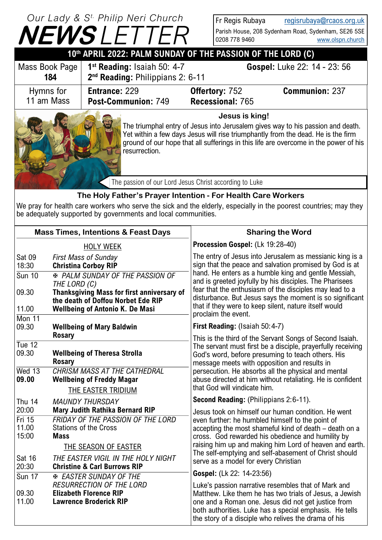## **NEWS** *LETTER Our Lady & S t. Philip Neri Church*

Fr Regis Rubaya [regisrubaya@rcaos.org.uk](mailto:regisrubaya@rcaos.org.uk) Parish House, 208 Sydenham Road, Sydenham, SE26 5SE 0208 778 9460 [www.olspn.church](http://www.olspn.church)

|                                                                                                                                                                                                                                                                                                | 10th APRIL 2022: PALM SUNDAY OF THE PASSION OF THE LORD (C)                                                                                                                                                                                                                                                  |                                                                               |                                           |                              |  |
|------------------------------------------------------------------------------------------------------------------------------------------------------------------------------------------------------------------------------------------------------------------------------------------------|--------------------------------------------------------------------------------------------------------------------------------------------------------------------------------------------------------------------------------------------------------------------------------------------------------------|-------------------------------------------------------------------------------|-------------------------------------------|------------------------------|--|
|                                                                                                                                                                                                                                                                                                | Mass Book Page<br>184                                                                                                                                                                                                                                                                                        | $1st$ Reading: Isaiah 50: 4-7<br>2 <sup>nd</sup> Reading: Philippians 2: 6-11 |                                           | Gospel: Luke 22: 14 - 23: 56 |  |
|                                                                                                                                                                                                                                                                                                | Hymns for<br>11 am Mass                                                                                                                                                                                                                                                                                      | <b>Entrance: 229</b><br>Post-Communion: 749                                   | <b>Offertory: 752</b><br>Recessional: 765 | <b>Communion: 237</b>        |  |
| Jesus is king!<br>The triumphal entry of Jesus into Jerusalem gives way to his passion and death.<br>Yet within a few days Jesus will rise triumphantly from the dead. He is the firm<br>ground of our hope that all sufferings in this life are overcome in the power of his<br>resurrection. |                                                                                                                                                                                                                                                                                                              |                                                                               |                                           |                              |  |
|                                                                                                                                                                                                                                                                                                | The passion of our Lord Jesus Christ according to Luke<br>The Holy Father's Prayer Intention - For Health Care Workers<br>We pray for health care workers who serve the sick and the elderly, especially in the poorest countries; may they<br>be adequately supported by governments and local communities. |                                                                               |                                           |                              |  |
|                                                                                                                                                                                                                                                                                                |                                                                                                                                                                                                                                                                                                              |                                                                               |                                           |                              |  |

|                                                                                                                                                                                                 | <b>Mass Times, Intentions &amp; Feast Days</b>                                                       | <b>Sharing the Word</b>                                                                                                                                                                                                                                                                                               |  |               |
|-------------------------------------------------------------------------------------------------------------------------------------------------------------------------------------------------|------------------------------------------------------------------------------------------------------|-----------------------------------------------------------------------------------------------------------------------------------------------------------------------------------------------------------------------------------------------------------------------------------------------------------------------|--|---------------|
|                                                                                                                                                                                                 | <b>HOLY WEEK</b>                                                                                     | Procession Gospel: (Lk 19:28-40)                                                                                                                                                                                                                                                                                      |  |               |
| <b>Sat 09</b><br>18:30<br><b>Sun 10</b>                                                                                                                                                         | <b>First Mass of Sunday</b><br><b>Christina Corboy RIP</b><br><b>E PALM SUNDAY OF THE PASSION OF</b> | The entry of Jesus into Jerusalem as messianic king is a<br>sign that the peace and salvation promised by God is at<br>hand. He enters as a humble king and gentle Messiah,                                                                                                                                           |  |               |
| THE LORD (C)<br>09.30<br><b>Thanksgiving Mass for first anniversary of</b><br>the death of Doffou Norbet Ede RIP<br>11.00<br><b>Wellbeing of Antonio K. De Masi</b>                             |                                                                                                      | and is greeted joyfully by his disciples. The Pharisees<br>fear that the enthusiasm of the disciples may lead to a<br>disturbance. But Jesus says the moment is so significant<br>that if they were to keep silent, nature itself would<br>proclaim the event.                                                        |  |               |
| Mon 11                                                                                                                                                                                          |                                                                                                      |                                                                                                                                                                                                                                                                                                                       |  |               |
| 09.30                                                                                                                                                                                           | <b>Wellbeing of Mary Baldwin</b>                                                                     | First Reading: (Isaiah 50:4-7)                                                                                                                                                                                                                                                                                        |  |               |
|                                                                                                                                                                                                 | <b>Rosary</b>                                                                                        | This is the third of the Servant Songs of Second Isaiah.                                                                                                                                                                                                                                                              |  |               |
| Tue $12$<br>09.30<br><b>Wellbeing of Theresa Strolla</b><br><b>Rosary</b><br>$Wed$ 13<br><b>CHRISM MASS AT THE CATHEDRAL</b><br>09.00<br><b>Wellbeing of Freddy Magar</b><br>THE EASTER TRIDIUM |                                                                                                      | The servant must first be a disciple, prayerfully receiving<br>God's word, before presuming to teach others. His<br>message meets with opposition and results in<br>persecution. He absorbs all the physical and mental<br>abuse directed at him without retaliating. He is confident<br>that God will vindicate him. |  |               |
|                                                                                                                                                                                                 |                                                                                                      |                                                                                                                                                                                                                                                                                                                       |  | <b>Thu 14</b> |
| 20:00                                                                                                                                                                                           | <b>Mary Judith Rathika Bernard RIP</b>                                                               | Jesus took on himself our human condition. He went                                                                                                                                                                                                                                                                    |  |               |
| $Fri$ 15<br><b>FRIDAY OF THE PASSION OF THE LORD</b><br>11.00<br><b>Stations of the Cross</b>                                                                                                   |                                                                                                      | even further: he humbled himself to the point of<br>accepting the most shameful kind of death – death on a                                                                                                                                                                                                            |  |               |
| 15:00                                                                                                                                                                                           | <b>Mass</b><br>THE SEASON OF EASTER                                                                  | cross. God rewarded his obedience and humility by<br>raising him up and making him Lord of heaven and earth.                                                                                                                                                                                                          |  |               |
|                                                                                                                                                                                                 | THE EASTER VIGIL IN THE HOLY NIGHT                                                                   | The self-emptying and self-abasement of Christ should                                                                                                                                                                                                                                                                 |  |               |
| <b>Sat 16</b><br>20:30<br><b>Christine &amp; Carl Burrows RIP</b>                                                                                                                               |                                                                                                      | serve as a model for every Christian                                                                                                                                                                                                                                                                                  |  |               |
| <b>Sun 17</b><br><b>EASTER SUNDAY OF THE</b>                                                                                                                                                    |                                                                                                      | Gospel: (Lk 22: 14-23:56)                                                                                                                                                                                                                                                                                             |  |               |
|                                                                                                                                                                                                 | <b>RESURRECTION OF THE LORD</b>                                                                      | Luke's passion narrative resembles that of Mark and                                                                                                                                                                                                                                                                   |  |               |
| 09.30<br><b>Elizabeth Florence RIP</b><br>11.00<br><b>Lawrence Broderick RIP</b>                                                                                                                |                                                                                                      | Matthew. Like them he has two trials of Jesus, a Jewish<br>one and a Roman one. Jesus did not get justice from<br>both authorities. Luke has a special emphasis. He tells<br>the story of a disciple who relives the drama of his                                                                                     |  |               |